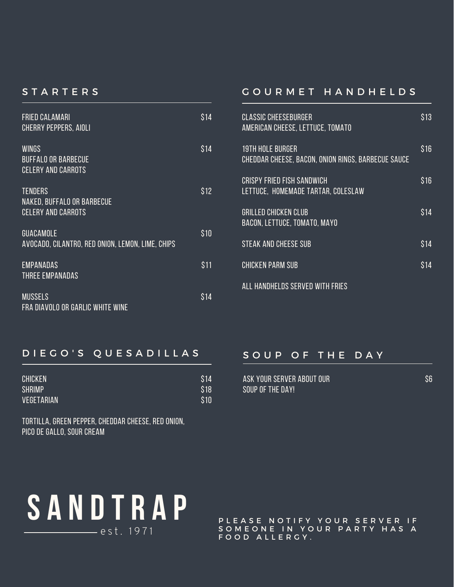### **STARTERS**

| <b>FRIED CALAMARI</b><br><b>CHERRY PEPPERS, AIOLI</b>                     | \$14 |
|---------------------------------------------------------------------------|------|
| <b>WINGS</b><br><b>BUFFALO OR BARBECUE</b><br><b>CELERY AND CARROTS</b>   | \$14 |
| <b>TENDERS</b><br>NAKED, BUFFALO OR BARBECUE<br><b>CELERY AND CARROTS</b> | S 12 |
| <b>GUACAMOLE</b><br>AVOCADO, CILANTRO, RED ONION, LEMON, LIME, CHIPS      | \$10 |
| <b>EMPANADAS</b><br>THREE EMPANADAS                                       | \$11 |
| <b>MUSSELS</b><br>FRA DIAVOLO OR GARLIC WHITE WINE                        | S 14 |

#### G O U R M E T H A N D H E L D S

| <b>CLASSIC CHEESEBURGER</b><br>AMERICAN CHEESE, LETTUCE, TOMATO               | S 13 |
|-------------------------------------------------------------------------------|------|
| <b>19TH HOLE BURGER</b><br>CHEDDAR CHEESE, BACON, ONION RINGS, BARBECUE SAUCE | S 16 |
| CRISPY FRIED FISH SANDWICH<br>LETTUCE, HOMEMADE TARTAR, COLESLAW              | S16  |
| GRILLED CHICKEN CLUB<br>BACON, LETTUCE, TOMATO, MAYO                          | S 14 |
| <b>STEAK AND CHEESE SUB</b>                                                   | S14  |
| <b>CHICKEN PARM SUB</b>                                                       | S 14 |
| ALL HANDHELDS SERVED WITH FRIES                                               |      |

## D I E G O ' S Q U E S A D I L L A S

| <b>CHICKEN</b> | \$14 |
|----------------|------|
| <b>SHRIMP</b>  | \$18 |
| VEGETARIAN     | \$10 |

tortilla, green pepper, cheddar cheese, red onion, pico de gallo, sour cream

## SOUP OF THE DAY

| ASK YOUR SERVER ABOUT OUR |  |
|---------------------------|--|
| SOUP OF THE DAY!          |  |

\$6



PLEASE NOTIFY YOUR SERVER IF SOMEONE IN YOUR PARTY HAS A FOOD ALLERGY.